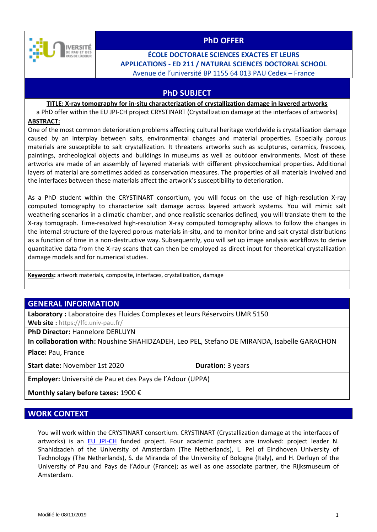

## **PhD OFFER**

## **ÉCOLE DOCTORALE SCIENCES EXACTES ET LEURS APPLICATIONS - ED 211 / NATURAL SCIENCES DOCTORAL SCHOOL** Avenue de l'université BP 1155 64 013 PAU Cedex – France

## **PhD SUBJECT**

#### **TITLE: X-ray tomography for in-situ characterization of crystallization damage in layered artworks** a PhD offer within the EU JPI-CH project CRYSTINART (Crystallization damage at the interfaces of artworks)

#### **ABSTRACT:**

One of the most common deterioration problems affecting cultural heritage worldwide is crystallization damage caused by an interplay between salts, environmental changes and material properties. Especially porous materials are susceptible to salt crystallization. It threatens artworks such as sculptures, ceramics, frescoes, paintings, archeological objects and buildings in museums as well as outdoor environments. Most of these artworks are made of an assembly of layered materials with different physicochemical properties. Additional layers of material are sometimes added as conservation measures. The properties of all materials involved and the interfaces between these materials affect the artwork's susceptibility to deterioration.

As a PhD student within the CRYSTINART consortium, you will focus on the use of high-resolution X-ray computed tomography to characterize salt damage across layered artwork systems. You will mimic salt weathering scenarios in a climatic chamber, and once realistic scenarios defined, you will translate them to the X-ray tomograph. Time-resolved high-resolution X-ray computed tomography allows to follow the changes in the internal structure of the layered porous materials in-situ, and to monitor brine and salt crystal distributions as a function of time in a non-destructive way. Subsequently, you will set up image analysis workflows to derive quantitative data from the X-ray scans that can then be employed as direct input for theoretical crystallization damage models and for numerical studies.

**Keywords:** artwork materials, composite, interfaces, crystallization, damage

## **GENERAL INFORMATION**

**Laboratory :** Laboratoire des Fluides Complexes et leurs Réservoirs UMR 5150

**Web site :** <https://lfc.univ-pau.fr/>

**PhD Director:** Hannelore DERLUYN

**In collaboration with:** Noushine SHAHIDZADEH, Leo PEL, Stefano DE MIRANDA, Isabelle GARACHON

**Place:** Pau, France

**Start date:** November 1st 2020 **Duration:** 3 years

**Employer:** Université de Pau et des Pays de l'Adour (UPPA)

**Monthly salary before taxes:** 1900 €

### **WORK CONTEXT**

You will work within the CRYSTINART consortium. CRYSTINART (Crystallization damage at the interfaces of artworks) is an [EU JPI-CH](http://jpi-ch.eu/) funded project. Four academic partners are involved: project leader N. Shahidzadeh of the University of Amsterdam (The Netherlands), L. Pel of Eindhoven University of Technology (The Netherlands), S. de Miranda of the University of Bologna (Italy), and H. Derluyn of the University of Pau and Pays de l'Adour (France); as well as one associate partner, the Rijksmuseum of Amsterdam.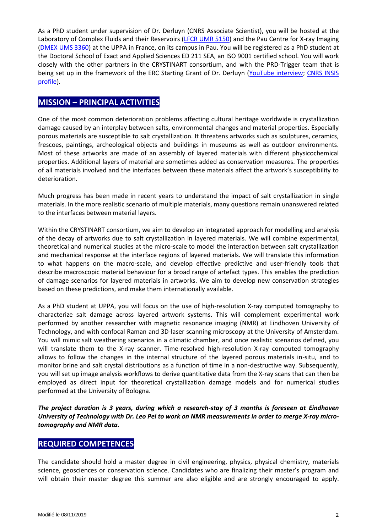As a PhD student under supervision of Dr. Derluyn (CNRS Associate Scientist), you will be hosted at the Laboratory of Complex Fluids and their Reservoirs [\(LFCR UMR 5150\)](https://lfc.univ-pau.fr/fr/index.html) and the Pau Centre for X-ray Imaging [\(DMEX UMS 3360\)](https://imagingcenter.univ-pau.fr/) at the UPPA in France, on its campus in Pau. You will be registered as a PhD student at the Doctoral School of Exact and Applied Sciences ED 211 SEA, an ISO 9001 certified school. You will work closely with the other partners in the CRYSTINART consortium, and with the PRD-Trigger team that is being set up in the framework of the ERC Starting Grant of Dr. Derluyn [\(YouTube interview;](https://www.youtube.com/watch?v=d4RimsgjwzA) [CNRS INSIS](https://insis.cnrs.fr/fr/personne/hannelore-derluyn)  [profile\)](https://insis.cnrs.fr/fr/personne/hannelore-derluyn).

## **MISSION – PRINCIPAL ACTIVITIES**

One of the most common deterioration problems affecting cultural heritage worldwide is crystallization damage caused by an interplay between salts, environmental changes and material properties. Especially porous materials are susceptible to salt crystallization. It threatens artworks such as sculptures, ceramics, frescoes, paintings, archeological objects and buildings in museums as well as outdoor environments. Most of these artworks are made of an assembly of layered materials with different physicochemical properties. Additional layers of material are sometimes added as conservation measures. The properties of all materials involved and the interfaces between these materials affect the artwork's susceptibility to deterioration.

Much progress has been made in recent years to understand the impact of salt crystallization in single materials. In the more realistic scenario of multiple materials, many questions remain unanswered related to the interfaces between material layers.

Within the CRYSTINART consortium, we aim to develop an integrated approach for modelling and analysis of the decay of artworks due to salt crystallization in layered materials. We will combine experimental, theoretical and numerical studies at the micro-scale to model the interaction between salt crystallization and mechanical response at the interface regions of layered materials*.* We will translate this information to what happens on the macro-scale, and develop effective predictive and user-friendly tools that describe macroscopic material behaviour for a broad range of artefact types. This enables the prediction of damage scenarios for layered materials in artworks. We aim to develop new conservation strategies based on these predictions, and make them internationally available.

As a PhD student at UPPA, you will focus on the use of high-resolution X-ray computed tomography to characterize salt damage across layered artwork systems. This will complement experimental work performed by another researcher with magnetic resonance imaging (NMR) at Eindhoven University of Technology, and with confocal Raman and 3D-laser scanning microscopy at the University of Amsterdam. You will mimic salt weathering scenarios in a climatic chamber, and once realistic scenarios defined, you will translate them to the X-ray scanner. Time-resolved high-resolution X-ray computed tomography allows to follow the changes in the internal structure of the layered porous materials in-situ, and to monitor brine and salt crystal distributions as a function of time in a non-destructive way. Subsequently, you will set up image analysis workflows to derive quantitative data from the X-ray scans that can then be employed as direct input for theoretical crystallization damage models and for numerical studies performed at the University of Bologna.

*The project duration is 3 years, during which a research-stay of 3 months is foreseen at Eindhoven University of Technology with Dr. Leo Pel to work on NMR measurements in order to merge X-ray microtomography and NMR data.* 

## **REQUIRED COMPETENCES**

The candidate should hold a master degree in civil engineering, physics, physical chemistry, materials science, geosciences or conservation science. Candidates who are finalizing their master's program and will obtain their master degree this summer are also eligible and are strongly encouraged to apply.